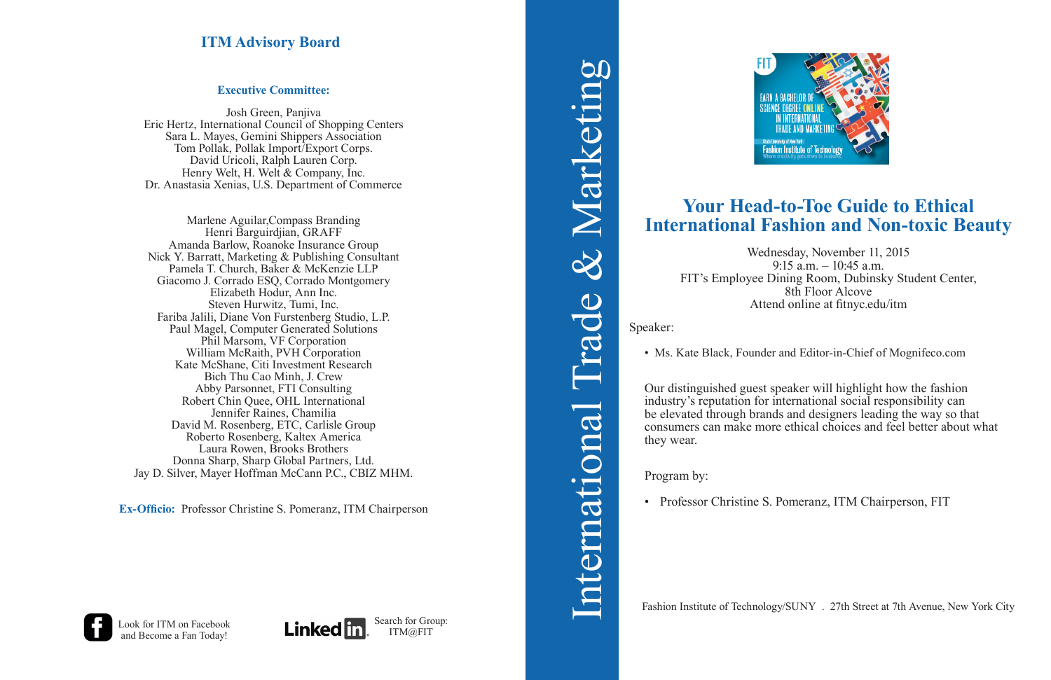# **Your Head-to-Toe Guide to Ethical International Fashion and Non-toxic Beauty**

Wednesday, November 11, 2015 9:15 a.m. – 10:45 a.m. FIT's Employee Dining Room, Dubinsky Student Center, 8th Floor Alcove Attend online at fitnyc.edu/itm

Speaker:

• Ms. Kate Black, Founder and Editor-in-Chief of Mognifeco.com

Our distinguished guest speaker will highlight how the fashion industry's reputation for international social responsibility can be elevated through brands and designers leading the way so that consumers can make more ethical choices and feel better about what they wear.

Program by:

• Professor Christine S. Pomeranz, ITM Chairperson, FIT

Fashion Institute of Technology/SUNY . 27th Street at 7th Avenue, New York City









#### **Executive Committee:**

Josh Green, Panjiva Eric Hertz, International Council of Shopping Centers Sara L. Mayes, Gemini Shippers Association Tom Pollak, Pollak Import/Export Corps. David Uricoli, Ralph Lauren Corp. Henry Welt, H. Welt & Company, Inc. Dr. Anastasia Xenias, U.S. Department of Commerce

Marlene Aguilar,Compass Branding Henri Barguirdjian, GRAFF Amanda Barlow, Roanoke Insurance Group Nick Y. Barratt, Marketing & Publishing Consultant Pamela T. Church, Baker & McKenzie LLP Giacomo J. Corrado ESQ, Corrado Montgomery Elizabeth Hodur, Ann Inc. Steven Hurwitz, Tumi, Inc. Fariba Jalili, Diane Von Furstenberg Studio, L.P. Paul Magel, Computer Generated Solutions Phil Marsom, VF Corporation William McRaith, PVH Corporation Kate McShane, Citi Investment Research Bich Thu Cao Minh, J. Crew Abby Parsonnet, FTI Consulting Robert Chin Quee, OHL International Jennifer Raines, Chamilia David M. Rosenberg, ETC, Carlisle Group Roberto Rosenberg, Kaltex America Laura Rowen, Brooks Brothers Donna Sharp, Sharp Global Partners, Ltd. Jay D. Silver, Mayer Hoffman McCann P.C., CBIZ MHM.

**Ex-Officio:** Professor Christine S. Pomeranz, ITM Chairperson



### **ITM Advisory Board**